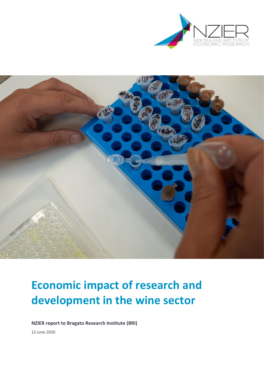



# **Economic impact of research and development in the wine sector**

**NZIER report to Bragato Research Institute (BRI)**

12 June 2020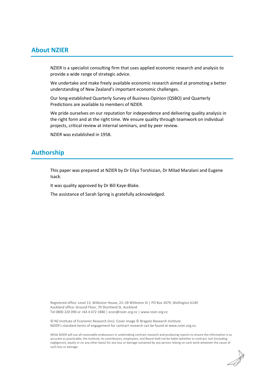### **About NZIER**

NZIER is a specialist consulting firm that uses applied economic research and analysis to provide a wide range of strategic advice.

We undertake and make freely available economic research aimed at promoting a better understanding of New Zealand's important economic challenges.

Our long-established Quarterly Survey of Business Opinion (QSBO) and Quarterly Predictions are available to members of NZIER.

We pride ourselves on our reputation for independence and delivering quality analysis in the right form and at the right time. We ensure quality through teamwork on individual projects, critical review at internal seminars, and by peer review.

NZIER was established in 1958.

# **Authorship**

This paper was prepared at NZIER by Dr Eilya Torshizian, Dr Milad Maralani and Eugene Isack.

It was quality approved by Dr Bill Kaye-Blake.

The assistance of Sarah Spring is gratefully acknowledged.

Registered office: Level 13, Willeston House, 22–28 Willeston St | PO Box 3479, Wellington 6140 Auckland office: Ground Floor, 70 Shortland St, Auckland Tel 0800 220 090 or +64 4 472 1880 [| econ@nzier.org.nz](mailto:econ@nzier.org.nz) [| www.nzier.org.nz](http://www.nzier.org.nz/)

© NZ Institute of Economic Research (Inc). Cover image © Bragato Research Institute NZIER's standard terms of engagement for contract research can be found a[t www.nzier.org.nz.](http://www.nzier.org.nz/)

While NZIER will use all reasonable endeavours in undertaking contract research and producing reports to ensure the information is as accurate as practicable, the Institute, its contributors, employees, and Board shall not be liable (whether in contract, tort (including negligence), equity or on any other basis) for any loss or damage sustained by any person relying on such work whatever the cause of such loss or damage.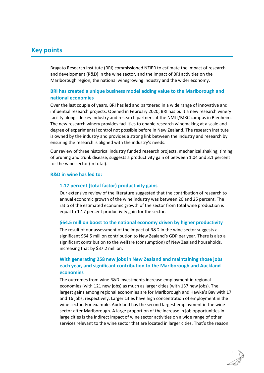# **Key points**

Bragato Research Institute (BRI) commissioned NZIER to estimate the impact of research and development (R&D) in the wine sector, and the impact of BRI activities on the Marlborough region, the national winegrowing industry and the wider economy.

#### **BRI has created a unique business model adding value to the Marlborough and national economies**

Over the last couple of years, BRI has led and partnered in a wide range of innovative and influential research projects. Opened in February 2020, BRI has built a new research winery facility alongside key industry and research partners at the NMIT/MRC campus in Blenheim. The new research winery provides facilities to enable research winemaking at a scale and degree of experimental control not possible before in New Zealand. The research institute is owned by the industry and provides a strong link between the industry and research by ensuring the research is aligned with the industry's needs.

Our review of three historical industry funded research projects, mechanical shaking, timing of pruning and trunk disease, suggests a productivity gain of between 1.04 and 3.1 percent for the wine sector (in total).

#### **R&D in wine has led to:**

#### **1.17 percent (total factor) productivity gains**

Our extensive review of the literature suggested that the contribution of research to annual economic growth of the wine industry was between 20 and 25 percent. The ratio of the estimated economic growth of the sector from total wine production is equal to 1.17 percent productivity gain for the sector.

#### **\$64.5 million boost to the national economy driven by higher productivity**

The result of our assessment of the impact of R&D in the wine sector suggests a significant \$64.5 million contribution to New Zealand's GDP per year. There is also a significant contribution to the welfare (consumption) of New Zealand households, increasing that by \$37.2 million.

### **With generating 258 new jobs in New Zealand and maintaining those jobs each year, and significant contribution to the Marlborough and Auckland economies**

The outcomes from wine R&D investments increase employment in regional economies (with 121 new jobs) as much as larger cities (with 137 new jobs). The largest gains among regional economies are for Marlborough and Hawke's Bay with 17 and 16 jobs, respectively. Larger cities have high concentration of employment in the wine sector. For example, Auckland has the second largest employment in the wine sector after Marlborough. A large proportion of the increase in job opportunities in large cities is the indirect impact of wine sector activities on a wide range of other services relevant to the wine sector that are located in larger cities. That's the reason

i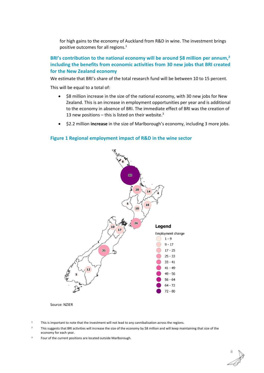for high gains to the economy of Auckland from R&D in wine. The investment brings positive outcomes for all regions.<sup>1</sup>

### **BRI's contribution to the national economy will be around \$8 million per annum, 2 including the benefits from economic activities from 30 new jobs that BRI created for the New Zealand economy**

We estimate that BRI's share of the total research fund will be between 10 to 15 percent.

This will be equal to a total of:

- \$8 million increase in the size of the national economy, with 30 new jobs for New Zealand. This is an increase in employment opportunities per year and is additional to the economy in absence of BRI. The immediate effect of BRI was the creation of 13 new positions – this is listed on their website. $3$
- \$2.2 million **increase** in the size of Marlborough's economy, including 3 more jobs.

#### <span id="page-4-0"></span>**Figure 1 Regional employment impact of R&D in the wine sector**



#### Source: NZIER

- <sup>1</sup> This is important to note that the investment will not lead to any cannibalisation across the regions.
- <sup>2</sup> This suggests that BRI activities will increase the size of the economy by \$8 million and will keep maintaining that size of the economy for each year.
- $3$  Four of the current positions are located outside Marlborough.

ii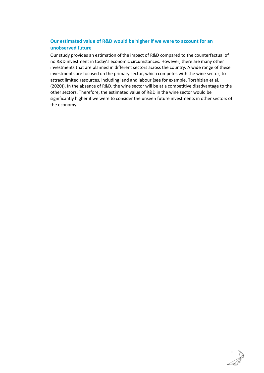### **Our estimated value of R&D would be higher if we were to account for an unobserved future**

Our study provides an estimation of the impact of R&D compared to the counterfactual of no R&D investment in today's economic circumstances. However, there are many other investments that are planned in different sectors across the country. A wide range of these investments are focused on the primary sector, which competes with the wine sector, to attract limited resources, including land and labour (see for example, Torshizian et al. (2020)). In the absence of R&D, the wine sector will be at a competitive disadvantage to the other sectors. Therefore, the estimated value of R&D in the wine sector would be significantly higher if we were to consider the unseen future investments in other sectors of the economy.

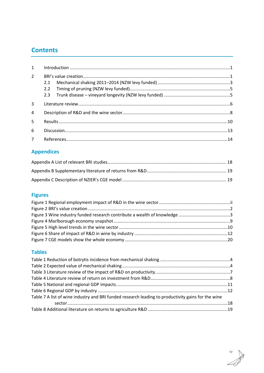# **Contents**

| $1 \quad \blacksquare$ |     |  |  |  |
|------------------------|-----|--|--|--|
| $2^{\circ}$            |     |  |  |  |
|                        | 2.1 |  |  |  |
|                        |     |  |  |  |
|                        |     |  |  |  |
| 3                      |     |  |  |  |
| $\overline{4}$         |     |  |  |  |
| 5                      |     |  |  |  |
| 6                      |     |  |  |  |
| $7^{\circ}$            |     |  |  |  |

# **Appendices**

# **Figures**

# **Tables**

| Table 7 A list of wine industry and BRI funded research leading to productivity gains for the wine |  |
|----------------------------------------------------------------------------------------------------|--|
|                                                                                                    |  |
|                                                                                                    |  |

iv<br> $\overline{\mathcal{L}}$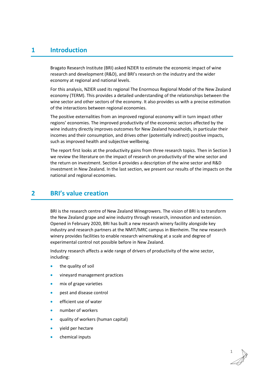### <span id="page-7-0"></span>**1 Introduction**

Bragato Research Institute (BRI) asked NZIER to estimate the economic impact of wine research and development (R&D), and BRI's research on the industry and the wider economy at regional and national levels.

For this analysis, NZIER used its regional The Enormous Regional Model of the New Zealand economy (TERM). This provides a detailed understanding of the relationships between the wine sector and other sectors of the economy. It also provides us with a precise estimation of the interactions between regional economies.

The positive externalities from an improved regional economy will in turn impact other regions' economies. The improved productivity of the economic sectors affected by the wine industry directly improves outcomes for New Zealand households, in particular their incomes and their consumption, and drives other (potentially indirect) positive impacts, such as improved health and subjective wellbeing.

The report first looks at the productivity gains from three research topics. Then in Section 3 we review the literature on the impact of research on productivity of the wine sector and the return on investment. Section 4 provides a description of the wine sector and R&D investment in New Zealand. In the last section, we present our results of the impacts on the national and regional economies.

# <span id="page-7-1"></span>**2 BRI's value creation**

BRI is the research centre of New Zealand Winegrowers. The vision of BRI is to transform the New Zealand grape and wine industry through research, innovation and extension. Opened in February 2020, BRI has built a new research winery facility alongside key industry and research partners at the NMIT/MRC campus in Blenheim. The new research winery provides facilities to enable research winemaking at a scale and degree of experimental control not possible before in New Zealand.

Industry research affects a wide range of drivers of productivity of the wine sector, including:

- the quality of soil
- vineyard management practices
- mix of grape varieties
- pest and disease control
- efficient use of water
- number of workers
- quality of workers (human capital)
- vield per hectare
- chemical inputs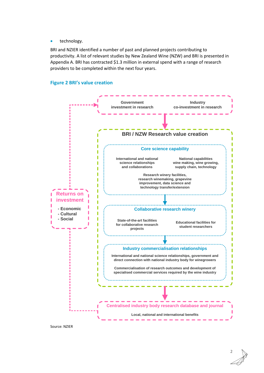technology.

BRI and NZIER identified a number of past and planned projects contributing to productivity. A list of relevant studies by New Zealand Wine (NZW) and BRI is presented in [Appendix A.](#page-24-0) BRI has contracted \$1.3 million in external spend with a range of research providers to be completed within the next four years.

<span id="page-8-0"></span>



Source: NZIER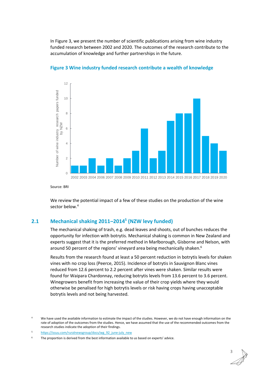I[n Figure 3,](#page-9-1) we present the number of scientific publications arising from wine industry funded research between 2002 and 2020. The outcomes of the research contribute to the accumulation of knowledge and further partnerships in the future.

<span id="page-9-1"></span>

#### **Figure 3 Wine industry funded research contribute a wealth of knowledge**

Source: BRI

We review the potential impact of a few of these studies on the production of the wine sector below.<sup>4</sup>

### <span id="page-9-0"></span>**2.1 Mechanical shaking 2011–2014<sup>5</sup> (NZW levy funded)**

The mechanical shaking of trash, e.g. dead leaves and shoots, out of bunches reduces the opportunity for infection with botrytis. Mechanical shaking is common in New Zealand and experts suggest that it is the preferred method in Marlborough, Gisborne and Nelson, with around 50 percent of the regions' vineyard area being mechanically shaken.<sup>6</sup>

Results from the research found at least a 50 percent reduction in botrytis levels for shaken vines with no crop loss (Peerce, 2015). Incidence of botrytis in Sauvignon Blanc vines reduced from 12.6 percent to 2.2 percent after vines were shaken. Similar results were found for Waipara Chardonnay, reducing botrytis levels from 13.6 percent to 3.6 percent. Winegrowers benefit from increasing the value of their crop yields where they would otherwise be penalised for high botrytis levels or risk having crops having unacceptable botrytis levels and not being harvested.

We have used the available information to estimate the impact of the studies. However, we do not have enough information on the rate of adoption of the outcomes from the studies. Hence, we have assumed that the use of the recommended outcomes from the research studies indicate the adoption of their findings.

<sup>5</sup> [https://issuu.com/ruralnewsgroup/docs/wg\\_92\\_june-july\\_new](https://issuu.com/ruralnewsgroup/docs/wg_92_june-july_new)

The proportion is derived from the best information available to us based on experts' advice.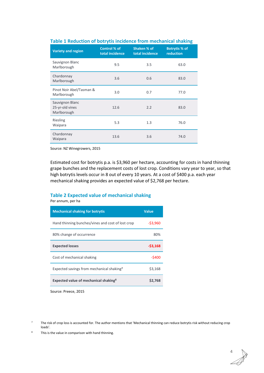| <b>Variety and region</b>                         | Control % of<br>total incidence | Shaken % of<br>total incidence | <b>Botrytis % of</b><br>reduction |
|---------------------------------------------------|---------------------------------|--------------------------------|-----------------------------------|
| Sauvignon Blanc<br>Marlborough                    | 9.5                             | 3.5                            | 63.0                              |
| Chardonnay<br>Marlborough                         | 3.6                             | 0.6                            | 83.0                              |
| Pinot Noir Abel/Tasman &<br>Marlborough           | 3.0                             | 0.7                            | 77.0                              |
| Sauvignon Blanc<br>25-yr-old vines<br>Marlborough | 12.6                            | 2.2                            | 83.0                              |
| <b>Riesling</b><br>Waipara                        | 5.3                             | 1.3                            | 76.0                              |
| Chardonnay<br>Waipara                             | 13.6                            | 3.6                            | 74.0                              |

#### <span id="page-10-0"></span>**Table 1 Reduction of botrytis incidence from mechanical shaking**

Source: NZ Winegrowers, 2015

Estimated cost for botrytis p.a. is \$3,960 per hectare, accounting for costs in hand thinning grape bunches and the replacement costs of lost crop. Conditions vary year to year, so that high botrytis levels occur in 8 out of every 10 years. At a cost of \$400 p.a. each year mechanical shaking provides an expected value of \$2,768 per hectare.

#### <span id="page-10-1"></span>**Table 2 Expected value of mechanical shaking**

| Per annum, per ha |  |
|-------------------|--|
|-------------------|--|

| <b>Mechanical shaking for botrytis</b>            | <b>Value</b> |
|---------------------------------------------------|--------------|
| Hand thinning bunches/vines and cost of lost crop | $-53,960$    |
| 80% change of occurrence                          | 80%          |
| <b>Expected losses</b>                            | $-53,168$    |
| Cost of mechanical shaking                        | $-5400$      |
| Expected savings from mechanical shaking?         | \$3,168      |
| Expected value of mechanical shaking <sup>8</sup> | \$2,768      |

Source: Preece, 2015

4

<sup>&</sup>lt;sup>7</sup> The risk of crop loss is accounted for. The author mentions that 'Mechanical thinning can reduce botrytis risk without reducing crop loads'.

<sup>8</sup> This is the value in comparison with hand thinning.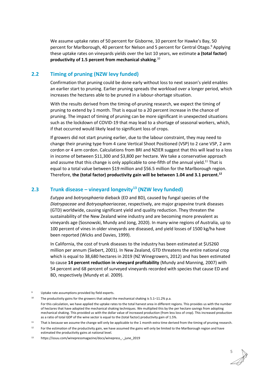We assume uptake rates of 50 percent for Gisborne, 10 percent for Hawke's Bay, 50 percent for Marlborough, 40 percent for Nelson and 5 percent for Central Otago.<sup>9</sup> Applying these uptake rates on vineyards yields over the last 10 years, we estimate **a (total factor) productivity of 1.5 percent from mechanical shaking**. 10

#### <span id="page-11-0"></span>**2.2 Timing of pruning (NZW levy funded)**

Confirmation that pruning could be done early without loss to next season's yield enables an earlier start to pruning. Earlier pruning spreads the workload over a longer period, which increases the hectares able to be pruned in a labour-shortage situation.

With the results derived from the timing-of-pruning research, we expect the timing of pruning to extend by 1 month. That is equal to a 20 percent increase in the chance of pruning. The impact of timing of pruning can be more significant in unexpected situations such as the lockdown of COVID-19 that may lead to a shortage of seasonal workers, which, if that occurred would likely lead to significant loss of crops.

If growers did not start pruning earlier, due to the labour constraint, they may need to change their pruning type from 4 cane Vertical Shoot Positioned (VSP) to 2 cane VSP, 2 arm cordon or 4 arm cordon. Calculations from BRI and NZIER suggest that this will lead to a loss in income of between \$11,300 and \$3,800 per hectare. We take a conservative approach and assume that this change is only applicable to one-fifth of the annual yield.<sup>11</sup> That is equal to a total value between \$19 million and \$56.5 million for the Marlborough region. Therefore, **the (total factor) productivity gain will be between 1.04 and 3.1 percent. 12**

#### <span id="page-11-1"></span>**2.3 Trunk disease – vineyard longevity<sup>13</sup> (NZW levy funded)**

*Eutypa* and *botryosphaeria* dieback (ED and BD), caused by fungal species of the *Diatrypaceae* and *Botryosphaeriaceae*, respectively, are major grapevine trunk diseases (GTD) worldwide, causing significant yield and quality reduction. They threaten the sustainability of the New Zealand wine industry and are becoming more prevalent as vineyards age (Sosnowski, Mundy and Jong, 2020). In many wine regions of Australia, up to 100 percent of vines in older vineyards are diseased, and yield losses of 1500 kg/ha have been reported (Wicks and Davies, 1999).

In California, the cost of trunk diseases to the industry has been estimated at \$US260 million per annum (Siebert, 2001). In New Zealand, GTD threatens the entire national crop which is equal to 38,680 hectares in 2019 (NZ Winegrowers, 2012) and has been estimated to cause **14 percent reduction in vineyard profitability** (Mundy and Manning, 2007) with 54 percent and 68 percent of surveyed vineyards recorded with species that cause ED and BD, respectively (Mundy et al. 2009).

Uptake rate assumptions provided by field experts.

<sup>10</sup> The productivity gains for the growers that adopt the mechanical shaking is 5.1–11.2% p.a. For this calculation, we have applied the uptake rates to the total harvest area in different regions. This provides us with the number of hectares that have adopted the mechanical shaking techniques. We multiplied this by the per hectare savings from adopting mechanical shaking. This provided us with the dollar value of increased production (from less loss of crop). This increased production as a ratio of total GDP of the wine sector is equal to the (total factor) productivity gain of 1.5%.

11 That is because we assume the change will only be applicable to the 1 month extra time derived from the timing of pruning research.

 $12$  For the estimation of the productivity gain, we have assumed the gains will only be limited to the Marlborough region and have estimated the productivity gains at national level.

<sup>13</sup> https://issuu.com/winepressmagazine/docs/winepress - june 2019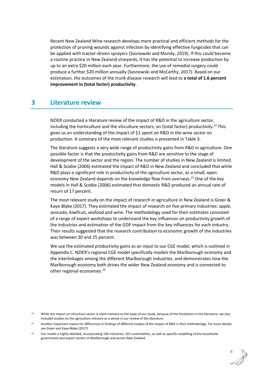Recent New Zealand Wine research develops more practical and efficient methods for the protection of pruning wounds against infection by identifying effective fungicides that can be applied with tractor-driven sprayers (Sosnowski and Mundy, 2019). If this could become a routine practice in New Zealand vineyards, it has the potential to increase production by up to an extra \$20 million each year. Furthermore, the use of remedial surgery could produce a further \$20 million annually (Sosnowski and McCarthy, 2017). Based on our estimation, the outcomes of the trunk disease research will lead to **a total of 1.6 percent improvement in (total factor) productivity**.

# <span id="page-12-0"></span>**3 Literature review**

NZIER conducted a literature review of the impact of R&D in the agriculture sector, including the horticulture and the viticulture sectors, on (total factor) productivity.<sup>14</sup> This gives us an understanding of the impact of \$1 spent on R&D in the wine sector on production. A summary of the most relevant studies is presented i[n Table 3.](#page-13-0)

The literature suggests a very wide range of productivity gains from R&D in agriculture. One possible factor is that the productivity gains from R&D are sensitive to the stage of development of the sector and the region. The number of studies in New Zealand is limited. Hall & Scobie (2006) estimated the impact of R&D in New Zealand and concluded that while R&D plays a significant role in productivity of the agriculture sector, as a small, open economy New Zealand depends on the knowledge flow from overseas.<sup>15</sup> One of the key models in Hall & Scobie (2006) estimated that domestic R&D produced an annual rate of return of 17 percent.

The most relevant study on the impact of research in agriculture in New Zealand is Greer & Kaye-Blake (2017). They estimated the impact of research on five primary industries: apple, avocado, kiwifruit, seafood and wine. The methodology used for their estimates consisted of a range of expert workshops to understand the key influences on productivity growth of the industries and estimation of the GDP impact from the key influences for each industry. Their results suggested that the research contribution to economic growth of the industries was between 20 and 25 percent.

We use the estimated productivity gains as an input to our CGE model, which is outlined in Appendix C. NZIER's regional CGE model specifically models the Marlborough economy and the interlinkages among the different Marlborough industries, and demonstrates how the Marlborough economy both drives the wider New Zealand economy and is connected to other regional economies.<sup>16</sup>

<sup>14</sup> While the impact on viticulture sector is more relevant to the topic of our study, because of the limitations in the literature, we also included studies on the agriculture industry as a whole in our review of the literature.

<sup>15</sup> Another important reason for differences in findings of different studies of the impact of R&D is their methodology. For more details see Greer and Kaye-Blake (2017).

<sup>&</sup>lt;sup>16</sup> Our model is highly detailed, incorporating 106 industries, 201 commodities, as well as specific modelling of the household, government and export sectors in Marlborough and across New Zealand.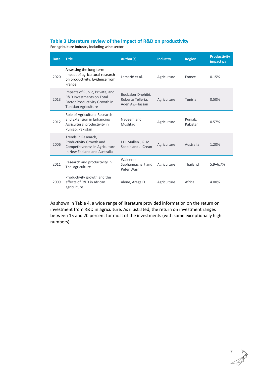#### <span id="page-13-0"></span>**Table 3 Literature review of the impact of R&D on productivity**

For agriculture industry including wine sector

| <b>Date</b> | <b>Title</b>                                                                                                                       | Author(s)                                                | <b>Industry</b> | <b>Region</b>       | <b>Productivity</b><br>impact pa |
|-------------|------------------------------------------------------------------------------------------------------------------------------------|----------------------------------------------------------|-----------------|---------------------|----------------------------------|
| 2020        | Assessing the long-term<br>impact of agricultural research<br>on productivity: Evidence from<br>France                             | Lemarié et al.                                           | Agriculture     | France              | 0.15%                            |
| 2013        | Impacts of Public, Private, and<br>R&D Investments on Total<br><b>Factor Productivity Growth in</b><br><b>Tunisian Agriculture</b> | Boubaker Dhehibi,<br>Roberto Telleria,<br>Aden Aw-Hassan | Agriculture     | Tunisia             | 0.50%                            |
| 2012        | Role of Agricultural Research<br>and Extension in Enhancing<br>Agricultural productivity in<br>Punjab, Pakistan                    | Nadeem and<br>Mushtag                                    | Agriculture     | Punjab,<br>Pakistan | 0.57%                            |
| 2006        | Trends in Research,<br>Productivity Growth and<br>Competitiveness in Agriculture<br>in New Zealand and Australia                   | J.D. Mullen, G. M.<br>Scobie and J. Crean                | Agriculture     | Australia           | 1.20%                            |
| 2011        | Research and productivity in<br>Thai agriculture                                                                                   | Waleerat<br>Suphannachart and<br>Peter Warr              | Agriculture     | Thailand            | $5.9 - 6.7%$                     |
| 2009        | Productivity growth and the<br>effects of R&D in African<br>agriculture                                                            | Alene, Arega D.                                          | Agriculture     | Africa              | 4.00%                            |

As shown i[n Table 4,](#page-14-1) a wide range of literature provided information on the return on investment from R&D in agriculture. As illustrated, the return on investment ranges between 15 and 20 percent for most of the investments (with some exceptionally high numbers).

7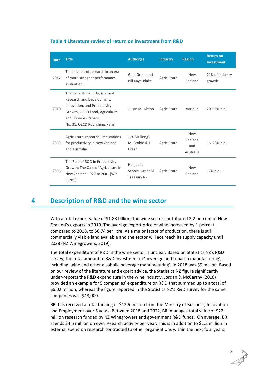#### <span id="page-14-1"></span>**Table 4 Literature review of return on investment from R&D**

| <b>Date</b> | <b>Title</b>                                                                                                                                                                              | <b>Author(s)</b>                                     | <b>Industry</b> | <b>Region</b>                             | <b>Return on</b><br>Investment |
|-------------|-------------------------------------------------------------------------------------------------------------------------------------------------------------------------------------------|------------------------------------------------------|-----------------|-------------------------------------------|--------------------------------|
| 2017        | The impacts of research in an era<br>of more stringent performance<br>evaluation                                                                                                          | Glen Greer and<br><b>Bill Kaye-Blake</b>             | Agriculture     | <b>New</b><br>Zealand                     | 21% of industry<br>growth      |
| 2010        | The Benefits from Agricultural<br>Research and Development,<br>Innovation, and Productivity<br>Growth, OECD Food, Agriculture<br>and Fisheries Papers,<br>No. 31, OECD Publishing, Paris. | Julian M. Alston                                     | Agriculture     | Various                                   | 20-80% p.a.                    |
| 2009        | Agricultural research: Implications<br>for productivity in New Zealand<br>and Australia                                                                                                   | J.D. Mullen, G.<br>M. Scobie & J.<br>Crean           | Agriculture     | <b>New</b><br>Zealand<br>and<br>Australia | 15-20% p.a.                    |
| 2006        | The Role of R&D in Productivity<br>Growth: The Case of Agriculture in<br>New Zealand: 1927 to 2001 (WP<br>06/01                                                                           | Hall, Julia<br>Scobie, Grant M<br><b>Treasury NZ</b> | Agriculture     | <b>New</b><br>Zealand                     | 17% p.a.                       |

# <span id="page-14-0"></span>**4 Description of R&D and the wine sector**

With a total export value of \$1.83 billion, the wine sector contributed 2.2 percent of New Zealand's exports in 2019. The average export price of wine increased by 1 percent, compared to 2018, to \$6.74 per litre. As a major factor of production, there is still commercially viable land available and the sector will not reach its supply capacity until 2028 (NZ Winegrowers, 2019).

The total expenditure of R&D in the wine sector is unclear. Based on Statistics NZ's R&D survey, the total amount of R&D investment in 'beverage and tobacco manufacturing', including 'wine and other alcoholic beverage manufacturing', in 2018 was \$9 million. Based on our review of the literature and expert advice, the Statistics NZ figure significantly under-reports the R&D expenditure in the wine industry. Jordan & McCarthy (2016) provided an example for 5 companies' expenditure on R&D that summed up to a total of \$6.02 million, whereas the figure reported in the Statistics NZ's R&D survey for the same companies was \$48,000.

BRI has received a total funding of \$12.5 million from the Ministry of Business, Innovation and Employment over 5 years. Between 2018 and 2022, BRI manages total value of \$22 million research funded by NZ Winegrowers and government R&D funds. On average, BRI spends \$4.5 million on own research activity per year. This is in addition to \$1.3 million in external spend on research contracted to other organisations within the next four years.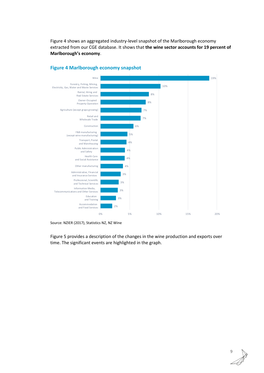[Figure 4](#page-15-0) shows an aggregated industry-level snapshot of the Marlborough economy extracted from our CGE database. It shows that **the wine sector accounts for 19 percent of Marlborough's economy**.



#### <span id="page-15-0"></span>**Figure 4 Marlborough economy snapshot**

Source: NZIER (2017), Statistics NZ, NZ Wine

[Figure 5](#page-16-1) provides a description of the changes in the wine production and exports over time. The significant events are highlighted in the graph.

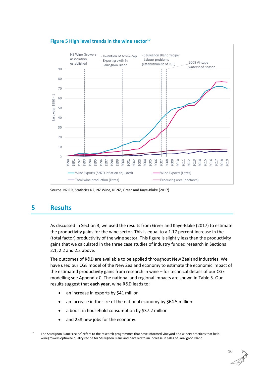<span id="page-16-1"></span>

#### **Figure 5 High level trends in the wine sector<sup>17</sup>**

# <span id="page-16-0"></span>**5 Results**

As discussed in Section 3, we used the results from Greer and Kaye-Blake (2017) to estimate the productivity gains for the wine sector. This is equal to a 1.17 percent increase in the (total factor) productivity of the wine sector. This figure is slightly less than the productivity gains that we calculated in the three case studies of industry funded research in Sections 2.1, 2.2 and 2.3 above.

The outcomes of R&D are available to be applied throughout New Zealand industries. We have used our CGE model of the New Zealand economy to estimate the economic impact of the estimated productivity gains from research in wine – for technical details of our CGE modelling see [Appendix C.](#page-25-1) The national and regional impacts are shown i[n Table 5.](#page-17-0) Our results suggest that **each year,** wine R&D leads to:

- an increase in exports by \$41 million
- an increase in the size of the national economy by \$64.5 million
- a boost in household consumption by \$37.2 million
- and 258 new jobs for the economy.

Source: NZIER, Statistics NZ, NZ Wine, RBNZ, Greer and Kaye-Blake (2017)

<sup>&</sup>lt;sup>17</sup> The Sauvignon Blanc 'recipe' refers to the research programmes that have informed vineyard and winery practices that help winegrowers optimize quality recipe for Sauvignon Blanc and have led to an increase in sales of Sauvignon Blanc.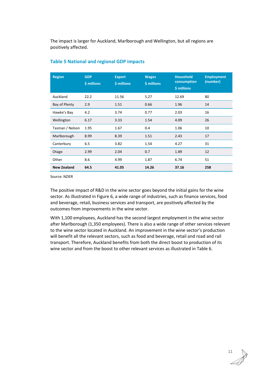The impact is larger for Auckland, Marlborough and Wellington, but all regions are positively affected.

| <b>Region</b>      | <b>GDP</b><br>\$ millions | <b>Export</b><br>\$ millions | <b>Wages</b><br>\$ millions | <b>Household</b><br>consumption<br>\$ millions | <b>Employment</b><br>(number) |
|--------------------|---------------------------|------------------------------|-----------------------------|------------------------------------------------|-------------------------------|
| Auckland           | 22.2                      | 11.56                        | 5.27                        | 12.69                                          | 80                            |
| Bay of Plenty      | 2.9                       | 1.51                         | 0.66                        | 1.96                                           | 14                            |
| Hawke's Bay        | 4.2                       | 3.74                         | 0.77                        | 2.03                                           | 16                            |
| Wellington         | 6.17                      | 3.33                         | 1.54                        | 4.09                                           | 26                            |
| Tasman / Nelson    | 1.95                      | 1.67                         | 0.4                         | 1.06                                           | 10                            |
| Marlborough        | 8.99                      | 8.39                         | 1.51                        | 2.43                                           | 17                            |
| Canterbury         | 6.5                       | 3.82                         | 1.54                        | 4.27                                           | 31                            |
| Otago              | 2.99                      | 2.04                         | 0.7                         | 1.89                                           | 12                            |
| Other              | 8.6                       | 4.99                         | 1.87                        | 6.74                                           | 51                            |
| <b>New Zealand</b> | 64.5                      | 41.05                        | 14.26                       | 37.16                                          | 258                           |

#### <span id="page-17-0"></span>**Table 5 National and regional GDP impacts**

Source: NZIER

The positive impact of R&D in the wine sector goes beyond the initial gains for the wine sector. As illustrated i[n Figure 6,](#page-18-0) a wide range of industries, such as finance services, food and beverage, retail, business services and transport, are positively affected by the outcomes from improvements in the wine sector.

With 1,100 employees, Auckland has the second largest employment in the wine sector after Marlborough (1,350 employees). There is also a wide range of other services relevant to the wine sector located in Auckland. An improvement in the wine sector's production will benefit all the relevant sectors, such as food and beverage, retail and road and rail transport. Therefore, Auckland benefits from both the direct boost to production of its wine sector and from the boost to other relevant services as illustrated in [Table 6.](#page-18-1)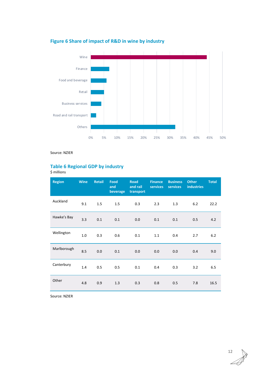<span id="page-18-0"></span>

### **Figure 6 Share of impact of R&D in wine by industry**

Source: NZIER

# <span id="page-18-1"></span>**Table 6 Regional GDP by industry**

\$ millions

| <b>Region</b> | <b>Wine</b> | <b>Retail</b> | <b>Food</b><br>and<br>beverage | <b>Road</b><br>and rail<br>transport | <b>Finance</b><br><b>services</b> | <b>Business</b><br><b>services</b> | <b>Other</b><br><b>industries</b> | <b>Total</b> |
|---------------|-------------|---------------|--------------------------------|--------------------------------------|-----------------------------------|------------------------------------|-----------------------------------|--------------|
| Auckland      | 9.1         | 1.5           | 1.5                            | 0.3                                  | 2.3                               | 1.3                                | 6.2                               | 22.2         |
| Hawke's Bay   | 3.3         | 0.1           | 0.1                            | 0.0                                  | 0.1                               | 0.1                                | 0.5                               | 4.2          |
| Wellington    | 1.0         | 0.3           | 0.6                            | 0.1                                  | 1.1                               | 0.4                                | 2.7                               | 6.2          |
| Marlborough   | 8.5         | 0.0           | 0.1                            | 0.0                                  | 0.0                               | 0.0                                | 0.4                               | 9.0          |
| Canterbury    | 1.4         | 0.5           | 0.5                            | 0.1                                  | 0.4                               | 0.3                                | 3.2                               | 6.5          |
| Other         | 4.8         | 0.9           | 1.3                            | 0.3                                  | 0.8                               | 0.5                                | 7.8                               | 16.5         |

Source: NZIER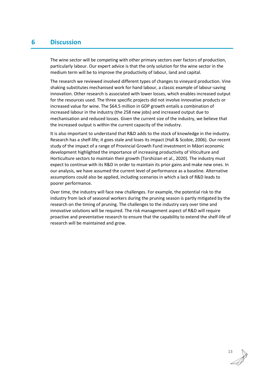# <span id="page-19-0"></span>**6 Discussion**

The wine sector will be competing with other primary sectors over factors of production, particularly labour. Our expert advice is that the only solution for the wine sector in the medium term will be to improve the productivity of labour, land and capital.

The research we reviewed involved different types of changes to vineyard production. Vine shaking substitutes mechanised work for hand labour, a classic example of labour-saving innovation. Other research is associated with lower losses, which enables increased output for the resources used. The three specific projects did not involve innovative products or increased value for wine. The \$64.5 million in GDP growth entails a combination of increased labour in the industry (the 258 new jobs) and increased output due to mechanisation and reduced losses. Given the current size of the industry, we believe that the increased output is within the current capacity of the industry.

It is also important to understand that R&D adds to the stock of knowledge in the industry. Research has a shelf-life; it goes stale and loses its impact (Hall & Scobie, 2006). Our recent study of the impact of a range of Provincial Growth Fund investment in Māori economic development highlighted the importance of increasing productivity of Viticulture and Horticulture sectors to maintain their growth (Torshizian et al., 2020). The industry must expect to continue with its R&D in order to maintain its prior gains and make new ones. In our analysis, we have assumed the current level of performance as a baseline. Alternative assumptions could also be applied, including scenarios in which a lack of R&D leads to poorer performance.

Over time, the industry will face new challenges. For example, the potential risk to the industry from lack of seasonal workers during the pruning season is partly mitigated by the research on the timing of pruning. The challenges to the industry vary over time and innovative solutions will be required. The risk management aspect of R&D will require proactive and preventative research to ensure that the capability to extend the shelf-life of research will be maintained and grow.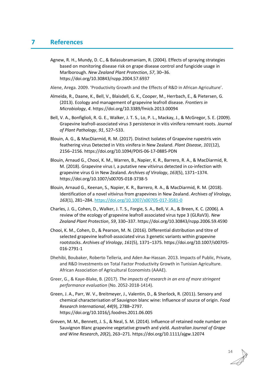- <span id="page-20-0"></span>Agnew, R. H., Mundy, D. C., & Balasubramaniam, R. (2004). Effects of spraying strategies based on monitoring disease risk on grape disease control and fungicide usage in Marlborough. *New Zealand Plant Protection*, *57*, 30–36. https://doi.org/10.30843/nzpp.2004.57.6937
- Alene, Arega. 2009. 'Productivity Growth and the Effects of R&D in African Agriculture'.
- Almeida, R., Daane, K., Bell, V., Blaisdell, G. K., Cooper, M., Herrbach, E., & Pietersen, G. (2013). Ecology and management of grapevine leafroll disease. *Frontiers in Microbiology*, *4*. https://doi.org/10.3389/fmicb.2013.00094
- Bell, V. A., Bonfiglioli, R. G. E., Walker, J. T. S., Lo, P. L., Mackay, J., & McGregor, S. E. (2009). Grapevine leafroll-associated virus 3 persistence in vitis vinifera remnant roots. *Journal of Plant Pathology*, *91*, 527–533.
- Blouin, A. G., & MacDiarmid, R. M. (2017). Distinct Isolates of Grapevine rupestris vein feathering virus Detected in Vitis vinifera in New Zealand. *Plant Disease*, *101*(12), 2156–2156. https://doi.org/10.1094/PDIS-06-17-0885-PDN
- Blouin, Arnaud G., Chooi, K. M., Warren, B., Napier, K. R., Barrero, R. A., & MacDiarmid, R. M. (2018). Grapevine virus I, a putative new vitivirus detected in co-infection with grapevine virus G in New Zealand. *Archives of Virology*, *163*(5), 1371–1374. https://doi.org/10.1007/s00705-018-3738-5
- Blouin, Arnaud G., Keenan, S., Napier, K. R., Barrero, R. A., & MacDiarmid, R. M. (2018). Identification of a novel vitivirus from grapevines in New Zealand. *Archives of Virology*, *163*(1), 281–284.<https://doi.org/10.1007/s00705-017-3581-0>
- Charles, J. G., Cohen, D., Walker, J. T. S., Forgie, S. A., Bell, V. A., & Breen, K. C. (2006). A review of the ecology of grapevine leafroll associated virus type 3 (GLRaV3). *New Zealand Plant Protection*, *59*, 330–337. https://doi.org/10.30843/nzpp.2006.59.4590
- Chooi, K. M., Cohen, D., & Pearson, M. N. (2016). Differential distribution and titre of selected grapevine leafroll-associated virus 3 genetic variants within grapevine rootstocks. *Archives of Virology*, *161*(5), 1371–1375. https://doi.org/10.1007/s00705- 016-2791-1
- Dhehibi, Boubaker, Roberto Telleria, and Aden Aw-Hassan. 2013. Impacts of Public, Private, and R&D Investments on Total Factor Productivity Growth in Tunisian Agriculture. African Association of Agricultural Economists (AAAE).
- Greer, G., & Kaye-Blake, B. (2017). *The impacts of research in an era of more stringent performance evaluation* (No. 2052-2018-1414).
- Green, J. A., Parr, W. V., Breitmeyer, J., Valentin, D., & Sherlock, R. (2011). Sensory and chemical characterisation of Sauvignon blanc wine: Influence of source of origin. *Food Research International*, *44*(9), 2788–2797. https://doi.org/10.1016/j.foodres.2011.06.005
- Greven, M. M., Bennett, J. S., & Neal, S. M. (2014). Influence of retained node number on Sauvignon Blanc grapevine vegetative growth and yield. *Australian Journal of Grape and Wine Research*, *20*(2), 263–271. https://doi.org/10.1111/ajgw.12074

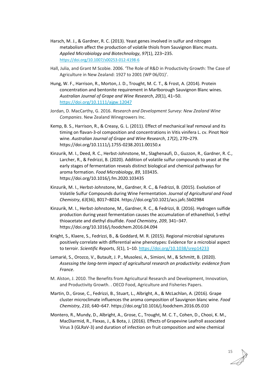- Harsch, M. J., & Gardner, R. C. (2013). Yeast genes involved in sulfur and nitrogen metabolism affect the production of volatile thiols from Sauvignon Blanc musts. *Applied Microbiology and Biotechnology*, *97*(1), 223–235. <https://doi.org/10.1007/s00253-012-4198-6>
- Hall, Julia, and Grant M Scobie. 2006. 'The Role of R&D in Productivity Growth: The Case of Agriculture in New Zealand: 1927 to 2001 (WP 06/01)'.
- Hung, W. F., Harrison, R., Morton, J. D., Trought, M. C. T., & Frost, A. (2014). Protein concentration and bentonite requirement in Marlborough Sauvignon Blanc wines. *Australian Journal of Grape and Wine Research*, *20*(1), 41–50. <https://doi.org/10.1111/ajgw.12047>
- Jordan, D. MacCarthy, G. 2016. *Research and Development Survey: New Zealand Wine Companies*. New Zealand Winegrowers Inc.
- Kemp, B. S., Harrison, R., & Creasy, G. L. (2011). Effect of mechanical leaf removal and its timing on flavan-3-ol composition and concentrations in Vitis vinifera L. cv. Pinot Noir wine. *Australian Journal of Grape and Wine Research*, *17*(2), 270–279. https://doi.org/10.1111/j.1755-0238.2011.00150.x
- Kinzurik, M. I., Deed, R. C., Herbst-Johnstone, M., Slaghenaufi, D., Guzzon, R., Gardner, R. C., Larcher, R., & Fedrizzi, B. (2020). Addition of volatile sulfur compounds to yeast at the early stages of fermentation reveals distinct biological and chemical pathways for aroma formation. *Food Microbiology*, *89*, 103435. https://doi.org/10.1016/j.fm.2020.103435
- Kinzurik, M. I., Herbst-Johnstone, M., Gardner, R. C., & Fedrizzi, B. (2015). Evolution of Volatile Sulfur Compounds during Wine Fermentation. *Journal of Agricultural and Food Chemistry*, *63*(36), 8017–8024. https://doi.org/10.1021/acs.jafc.5b02984
- Kinzurik, M. I., Herbst-Johnstone, M., Gardner, R. C., & Fedrizzi, B. (2016). Hydrogen sulfide production during yeast fermentation causes the accumulation of ethanethiol, S-ethyl thioacetate and diethyl disulfide. *Food Chemistry*, *209*, 341–347. https://doi.org/10.1016/j.foodchem.2016.04.094
- Knight, S., Klaere, S., Fedrizzi, B., & Goddard, M. R. (2015). Regional microbial signatures positively correlate with differential wine phenotypes: Evidence for a microbial aspect to terroir. *Scientific Reports*, *5*(1), 1–10.<https://doi.org/10.1038/srep14233>
- Lemarié, S., Orozco, V., Butault, J. P., Musolesi, A., Simioni, M., & Schmitt, B. (2020). *Assessing the long-term impact of agricultural research on productivity: evidence from France*.
- M. Alston, J. 2010. The Benefits from Agricultural Research and Development, Innovation, and Productivity Growth. . OECD Food, Agriculture and Fisheries Papers.
- Martin, D., Grose, C., Fedrizzi, B., Stuart, L., Albright, A., & McLachlan, A. (2016). Grape cluster microclimate influences the aroma composition of Sauvignon blanc wine. *Food Chemistry*, *210*, 640–647. https://doi.org/10.1016/j.foodchem.2016.05.010
- Montero, R., Mundy, D., Albright, A., Grose, C., Trought, M. C. T., Cohen, D., Chooi, K. M., MacDiarmid, R., Flexas, J., & Bota, J. (2016). Effects of Grapevine Leafroll associated Virus 3 (GLRaV-3) and duration of infection on fruit composition and wine chemical

15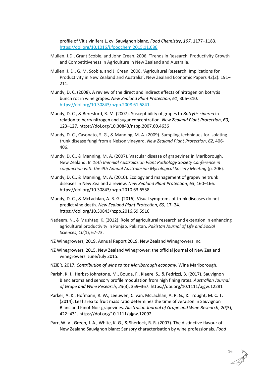profile of Vitis vinifera L. cv. Sauvignon blanc. *Food Chemistry*, *197*, 1177–1183. <https://doi.org/10.1016/j.foodchem.2015.11.086>

- Mullen, J.D., Grant Scobie, and John Crean. 2006. 'Trends in Research, Productivity Growth and Competitiveness in Agriculture in New Zealand and Australia.
- Mullen, J. D., G. M. Scobie, and J. Crean. 2008. 'Agricultural Research: Implications for Productivity in New Zealand and Australia'. New Zealand Economic Papers 42(2): 191– 211.
- Mundy, D. C. (2008). A review of the direct and indirect effects of nitrogen on botrytis bunch rot in wine grapes. *New Zealand Plant Protection*, *61*, 306–310. [https://doi.org/10.30843/nzpp.2008.61.6841.](https://doi.org/10.30843/nzpp.2008.61.6841)
- Mundy, D. C., & Beresford, R. M. (2007). Susceptibility of grapes to *Botrytis cinerea* in relation to berry nitrogen and sugar concentration. *New Zealand Plant Protection*, *60*, 123–127. https://doi.org/10.30843/nzpp.2007.60.4636
- Mundy, D. C., Casonato, S. G., & Manning, M. A. (2009). Sampling techniques for isolating trunk disease fungi from a Nelson vineyard. *New Zealand Plant Protection*, *62*, 406- 406.
- Mundy, D. C., & Manning, M. A. (2007). Vascular disease of grapevines in Marlborough, New Zealand. In *16th Biennial Australasian Plant Pathology Society Conference in conjunction with the 9th Annual Australasian Mycological Society Meeting* (p. 206).
- Mundy, D. C., & Manning, M. A. (2010). Ecology and management of grapevine trunk diseases in New Zealand a review. *New Zealand Plant Protection*, *63*, 160–166. https://doi.org/10.30843/nzpp.2010.63.6558
- Mundy, D. C., & McLachlan, A. R. G. (2016). Visual symptoms of trunk diseases do not predict vine death. *New Zealand Plant Protection*, *69*, 17–24. https://doi.org/10.30843/nzpp.2016.69.5910
- Nadeem, N., & Mushtaq, K. (2012). Role of agricultural research and extension in enhancing agricultural productivity in Punjab, Pakistan. *Pakistan Journal of Life and Social Sciences*, *10*(1), 67-73.
- NZ Winegrowers, 2019. Annual Report 2019. New Zealand Winegrowers Inc.
- NZ Winegrowers, 2015. New Zealand Winegrower: the official journal of New Zealand winegrowers. June/July 2015.
- NZIER, 2017. *Contribution of wine to the Marlborough economy*. Wine Marlborough.
- Parish, K. J., Herbst‐Johnstone, M., Bouda, F., Klaere, S., & Fedrizzi, B. (2017). Sauvignon Blanc aroma and sensory profile modulation from high fining rates. *Australian Journal of Grape and Wine Research*, *23*(3), 359–367. https://doi.org/10.1111/ajgw.12281
- Parker, A. K., Hofmann, R. W., Leeuwen, C. van, McLachlan, A. R. G., & Trought, M. C. T. (2014). Leaf area to fruit mass ratio determines the time of veraison in Sauvignon Blanc and Pinot Noir grapevines. *Australian Journal of Grape and Wine Research*, *20*(3), 422–431. https://doi.org/10.1111/ajgw.12092
- Parr, W. V., Green, J. A., White, K. G., & Sherlock, R. R. (2007). The distinctive flavour of New Zealand Sauvignon blanc: Sensory characterisation by wine professionals. *Food*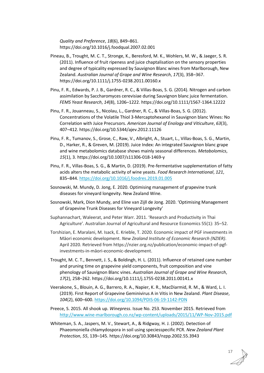*Quality and Preference*, *18*(6), 849–861. https://doi.org/10.1016/j.foodqual.2007.02.001

- Pineau, B., Trought, M. C. T., Stronge, K., Beresford, M. K., Wohlers, M. W., & Jaeger, S. R. (2011). Influence of fruit ripeness and juice chaptalisation on the sensory properties and degree of typicality expressed by Sauvignon Blanc wines from Marlborough, New Zealand. *Australian Journal of Grape and Wine Research*, *17*(3), 358–367. https://doi.org/10.1111/j.1755-0238.2011.00160.x
- Pinu, F. R., Edwards, P. J. B., Gardner, R. C., & Villas-Boas, S. G. (2014). Nitrogen and carbon assimilation by Saccharomyces cerevisiae during Sauvignon blanc juice fermentation. *FEMS Yeast Research*, *14*(8), 1206–1222. https://doi.org/10.1111/1567-1364.12222
- Pinu, F. R., Jouanneau, S., Nicolau, L., Gardner, R. C., & Villas-Boas, S. G. (2012). Concentrations of the Volatile Thiol 3-Mercaptohexanol in Sauvignon blanc Wines: No Correlation with Juice Precursors. *American Journal of Enology and Viticulture*, *63*(3), 407–412. https://doi.org/10.5344/ajev.2012.11126
- Pinu, F. R., Tumanov, S., Grose, C., Raw, V., Albright, A., Stuart, L., Villas-Boas, S. G., Martin, D., Harker, R., & Greven, M. (2019). Juice Index: An integrated Sauvignon blanc grape and wine metabolomics database shows mainly seasonal differences. *Metabolomics*, *15*(1), 3. https://doi.org/10.1007/s11306-018-1469-y
- Pinu, F. R., Villas-Boas, S. G., & Martin, D. (2019). Pre-fermentative supplementation of fatty acids alters the metabolic activity of wine yeasts. *Food Research International*, *121*, 835–844.<https://doi.org/10.1016/j.foodres.2019.01.005>
- Sosnowski, M. Mundy, D. Jong, E. 2020. Optimising management of grapevine trunk diseases for vineyard longevity. New Zealand Wine.
- Sosnowski, Mark, Dion Mundy, and Eline van Zijll de Jong. 2020. 'Optimising Management of Grapevine Trunk Diseases for Vineyard Longevity'
- Suphannachart, Waleerat, and Peter Warr. 2011. 'Research and Productivity in Thai Agriculture'. Australian Journal of Agricultural and Resource Economics 55(1): 35–52.
- Torshizian, E. Maralani, M. Isack, E. Krieble, T. 2020. Economic impact of PGF investments in Māori economic development. *New Zealand Institute of Economic Research (NZIER)*. April 2020. Retrieved from https://nzier.org.nz/publication/economic-impact-of-pgfinvestments-in-māori-economic-development.
- Trought, M. C. T., Bennett, J. S., & Boldingh, H. L. (2011). Influence of retained cane number and pruning time on grapevine yield components, fruit composition and vine phenology of Sauvignon Blanc vines. *Australian Journal of Grape and Wine Research*, *17*(2), 258–262. https://doi.org/10.1111/j.1755-0238.2011.00141.x
- Veerakone, S., Blouin, A. G., Barrero, R. A., Napier, K. R., MacDiarmid, R. M., & Ward, L. I. (2019). First Report of Grapevine Geminivirus A in Vitis in New Zealand. *Plant Disease*, *104*(2), 600–600.<https://doi.org/10.1094/PDIS-06-19-1142-PDN>
- Preece, S. 2015. All shook up. *Winepress*. Issue No. 253. November 2015. Retrieved from <http://www.wine-marlborough.co.nz/wp-content/uploads/2015/11/WP-Nov-2015.pdf>
- Whiteman, S. A., Jaspers, M. V., Stewart, A., & Ridgway, H. J. (2002). Detection of Phaeomoniella chlamydospora in soil using speciesspecific PCR. *New Zealand Plant Protection*, *55*, 139–145. https://doi.org/10.30843/nzpp.2002.55.3943

17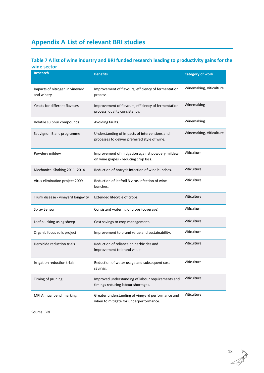# <span id="page-24-0"></span>**Appendix A List of relevant BRI studies**

# <span id="page-24-1"></span>**Table 7 A list of wine industry and BRI funded research leading to productivity gains for the**

| wine sector                                   |                                                                                                |                         |
|-----------------------------------------------|------------------------------------------------------------------------------------------------|-------------------------|
| <b>Research</b>                               | <b>Benefits</b>                                                                                | <b>Category of work</b> |
| Impacts of nitrogen in vineyard<br>and winery | Improvement of flavours, efficiency of fermentation<br>process.                                | Winemaking, Viticulture |
| Yeasts for different flavours                 | Improvement of flavours, efficiency of fermentation<br>process, quality consistency.           | Winemaking              |
| Volatile sulphur compounds                    | Avoiding faults.                                                                               | Winemaking              |
| Sauvignon Blanc programme                     | Understanding of impacts of interventions and<br>processes to deliver preferred style of wine. | Winemaking, Viticulture |
| Powdery mildew                                | Improvement of mitigation against powdery mildew<br>on wine grapes - reducing crop loss.       | Viticulture             |
| Mechanical Shaking 2011-2014                  | Reduction of botrytis infection of wine bunches.                                               | Viticulture             |
| Virus elimination project 2009                | Reduction of leafroll 3 virus infection of wine<br>bunches.                                    | Viticulture             |
| Trunk disease - vineyard longevity            | Extended lifecycle of crops.                                                                   | Viticulture             |
| Spray Sensor                                  | Consistent watering of crops (coverage).                                                       | Viticulture             |
| Leaf plucking using sheep                     | Cost savings to crop management.                                                               | Viticulture             |
| Organic focus soils project                   | Improvement to brand value and sustainability.                                                 | Viticulture             |
| <b>Herbicide reduction trials</b>             | Reduction of reliance on herbicides and<br>improvement to brand value.                         | Viticulture             |
| Irrigation reduction trials                   | Reduction of water usage and subsequent cost<br>savings.                                       | Viticulture             |
| Timing of pruning                             | Improved understanding of labour requirements and<br>timings reducing labour shortages.        | Viticulture             |
| MPI Annual benchmarking                       | Greater understanding of vineyard performance and<br>when to mitigate for underperformance.    | Viticulture             |

Source: BRI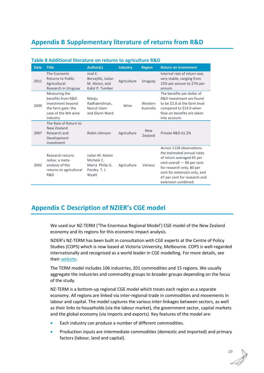# <span id="page-25-0"></span>**Appendix B Supplementary literature of returns from R&D**

| <b>Date</b> | <b>Title</b>                                                                                                     | Author(s)                                                                  | <b>Industry</b> | <b>Region</b>         | <b>Return on Investment</b>                                                                                                                                                                                                           |
|-------------|------------------------------------------------------------------------------------------------------------------|----------------------------------------------------------------------------|-----------------|-----------------------|---------------------------------------------------------------------------------------------------------------------------------------------------------------------------------------------------------------------------------------|
| 2011        | The Economic<br><b>Returns to Public</b><br>Agricultural<br>Research in Uruguay                                  | José E.<br>Bervejillo, Julian<br>M. Alston, and<br>Kabir P. Tumber         | Agriculture     | Uruguay               | Internal rate of return was<br>very stable, ranging from<br>23% per annum to 27% per<br>annum.                                                                                                                                        |
| 2009        | Measuring the<br>benefits from R&D<br>investment beyond<br>the farm gate: the<br>case of the WA wine<br>industry | Manju<br>Radhakrishnan,<br>Nazrul Islam<br>and Glynn Ward                  | Wine            | Western<br>Australia  | The benefits per dollar of<br>R&D investment are found<br>to be \$2.8 at the farm level<br>compared to \$14.9 when<br>flow-on benefits are taken<br>into account.                                                                     |
| 2007        | The Rate of Return to<br>New Zealand<br>Research and<br>Development<br>Investment                                | Robin Johnson                                                              | Agriculture     | <b>New</b><br>Zealand | Private R&D 61.2%                                                                                                                                                                                                                     |
| 2002        | Research returns<br>redux: a meta-<br>analysis of the<br>returns to agricultural<br>R&D                          | Julian M. Alston<br>Michele C.<br>Marra Philip G.<br>Pardey T. J.<br>Wyatt | Agriculture     | Various               | Across 1128 observations<br>the estimated annual rates<br>of return averaged 65 per<br>cent overall - 80 per cent<br>for research only, 80 per<br>cent for extension only, and<br>47 per cent for research and<br>extension combined. |

#### <span id="page-25-2"></span>**Table 8 Additional literature on returns to agriculture R&D**

# <span id="page-25-1"></span>**Appendix C Description of NZIER's CGE model**

We used our NZ-TERM ('The Enormous Regional Model') CGE model of the New Zealand economy and its regions for this economic impact analysis.

NZIER's NZ-TERM has been built in consultation with CGE experts at the Centre of Policy Studies (COPS) which is now based at Victoria University, Melbourne. COPS is well-regarded internationally and recognised as a world leader in CGE modelling. For more details, see their [website.](file:///C:/Users/Milad/Downloads/%20https/www.vu.edu.au/centre-of-policy-studies-cops)

The TERM model includes 106 industries, 201 commodities and 15 regions. We usually aggregate the industries and commodity groups to broader groups depending on the focus of the study.

NZ-TERM is a bottom-up regional CGE model which treats each region as a separate economy. All regions are linked via inter-regional trade in commodities and movements in labour and capital. The model captures the various inter-linkages between sectors, as well as their links to households (via the labour market), the government sector, capital markets and the global economy (via imports and exports). Key features of the model are:

- Each industry can produce a number of different commodities.
- Production inputs are intermediate commodities (domestic and imported) and primary factors (labour, land and capital).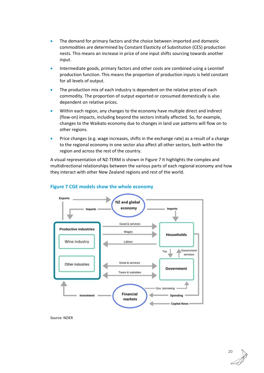- The demand for primary factors and the choice between imported and domestic commodities are determined by Constant Elasticity of Substitution (CES) production nests. This means an increase in price of one input shifts sourcing towards another input.
- Intermediate goods, primary factors and other costs are combined using a Leontief production function. This means the proportion of production inputs is held constant for all levels of output.
- The production mix of each industry is dependent on the relative prices of each commodity. The proportion of output exported or consumed domestically is also dependent on relative prices.
- Within each region, any changes to the economy have multiple direct and indirect (flow-on) impacts, including beyond the sectors initially affected. So, for example, changes to the Waikato economy due to changes in land use patterns will flow on to other regions.
- Price changes (e.g. wage increases, shifts in the exchange rate) as a result of a change to the regional economy in one sector also affect all other sectors, both within the region and across the rest of the country.

A visual representation of NZ-TERM is shown in Figure 7 It highlights the complex and multidirectional relationships between the various parts of each regional economy and how they interact with other New Zealand regions and rest of the world.



#### <span id="page-26-0"></span>**Figure 7 CGE models show the whole economy**

Source: NZIER